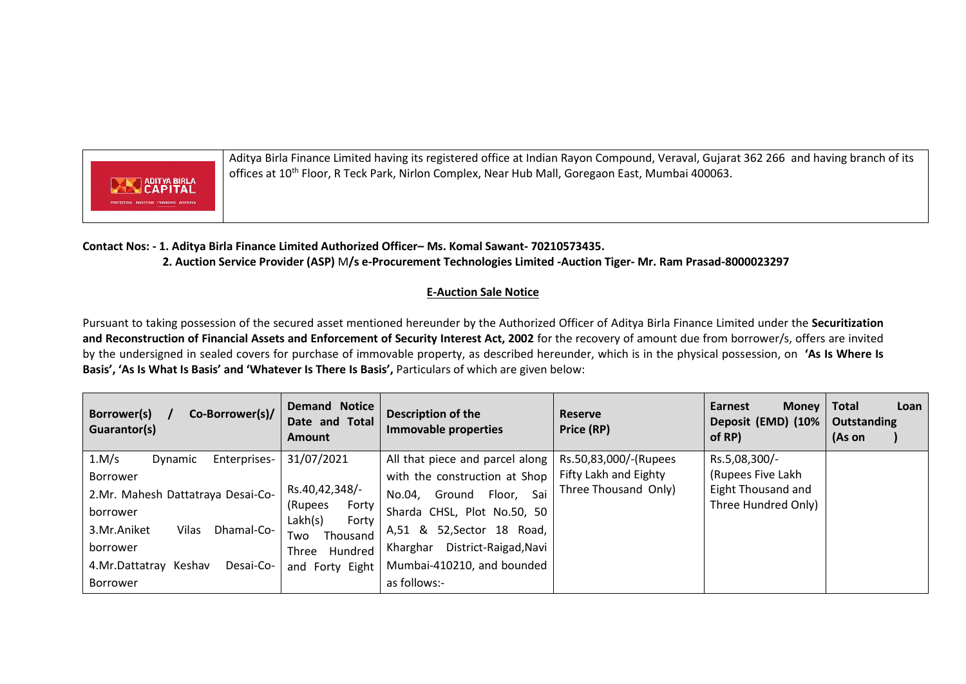

Aditya Birla Finance Limited having its registered office at Indian Rayon Compound, Veraval, Gujarat 362 266 and having branch of its offices at 10<sup>th</sup> Floor, R Teck Park, Nirlon Complex, Near Hub Mall, Goregaon East, Mumbai 400063.

## **Contact Nos: - 1. Aditya Birla Finance Limited Authorized Officer– Ms. Komal Sawant- 70210573435. 2. Auction Service Provider (ASP)** M**/s e-Procurement Technologies Limited -Auction Tiger- Mr. Ram Prasad-8000023297**

## **E-Auction Sale Notice**

Pursuant to taking possession of the secured asset mentioned hereunder by the Authorized Officer of Aditya Birla Finance Limited under the **Securitization and Reconstruction of Financial Assets and Enforcement of Security Interest Act, 2002** for the recovery of amount due from borrower/s, offers are invited by the undersigned in sealed covers for purchase of immovable property, as described hereunder, which is in the physical possession, on **'As Is Where Is Basis', 'As Is What Is Basis' and 'Whatever Is There Is Basis',** Particulars of which are given below:

| Co-Borrower(s)/<br>Borrower(s)<br>Guarantor(s) | <b>Demand Notice</b><br>Date and Total<br><b>Amount</b> | Description of the<br><b>Immovable properties</b>       | <b>Reserve</b><br>Price (RP) | <b>Earnest</b><br><b>Money</b><br>Deposit (EMD) (10%<br>of RP) | <b>Total</b><br>Loan<br>Outstanding<br>(As on |
|------------------------------------------------|---------------------------------------------------------|---------------------------------------------------------|------------------------------|----------------------------------------------------------------|-----------------------------------------------|
| 1.M/s<br>Enterprises-<br>Dynamic               | 31/07/2021                                              | All that piece and parcel along   Rs.50,83,000/-(Rupees |                              | Rs.5,08,300/-                                                  |                                               |
| Borrower                                       |                                                         | with the construction at Shop                           | Fifty Lakh and Eighty        | (Rupees Five Lakh                                              |                                               |
| 2.Mr. Mahesh Dattatraya Desai-Co-              | Rs.40,42,348/-                                          | Sai<br>Floor,<br>No.04,<br>Ground                       | Three Thousand Only)         | Eight Thousand and                                             |                                               |
| borrower                                       | Forty<br>(Rupees                                        | Sharda CHSL, Plot No.50, 50                             |                              | Three Hundred Only)                                            |                                               |
| 3.Mr.Aniket<br>Vilas<br>Dhamal-Co-             | Lakh(s)<br>Forty<br>Thousand<br>Two                     | A,51 &<br>52, Sector 18 Road,                           |                              |                                                                |                                               |
| borrower                                       | Hundred<br>Three                                        | District-Raigad, Navi<br>Kharghar                       |                              |                                                                |                                               |
| 4.Mr.Dattatray Keshav<br>Desai-Co-             | and Forty Eight                                         | Mumbai-410210, and bounded                              |                              |                                                                |                                               |
| Borrower                                       |                                                         | as follows:-                                            |                              |                                                                |                                               |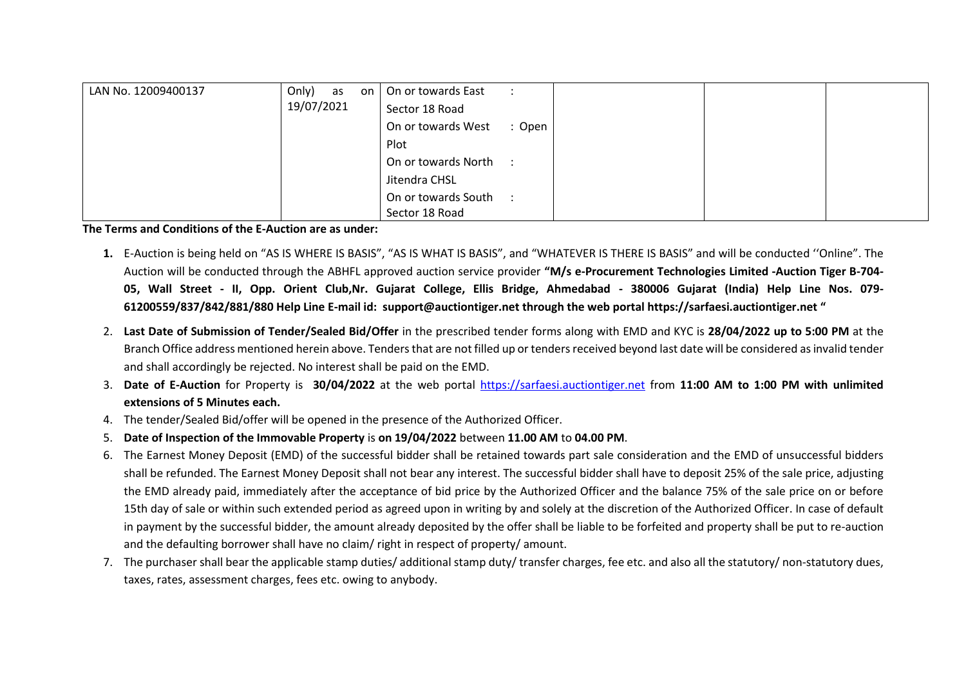| LAN No. 12009400137 | Only) as   | On or towards East<br>on l |        |  |
|---------------------|------------|----------------------------|--------|--|
|                     | 19/07/2021 | Sector 18 Road             |        |  |
|                     |            | On or towards West         | : Open |  |
|                     |            | Plot                       |        |  |
|                     |            | On or towards North :      |        |  |
|                     |            | Jitendra CHSL              |        |  |
|                     |            | On or towards South :      |        |  |
|                     |            | Sector 18 Road             |        |  |

**The Terms and Conditions of the E-Auction are as under:** 

- **1.** E-Auction is being held on "AS IS WHERE IS BASIS", "AS IS WHAT IS BASIS", and "WHATEVER IS THERE IS BASIS" and will be conducted ''Online". The Auction will be conducted through the ABHFL approved auction service provider **"M/s e-Procurement Technologies Limited -Auction Tiger B-704- 05, Wall Street - II, Opp. Orient Club,Nr. Gujarat College, Ellis Bridge, Ahmedabad - 380006 Gujarat (India) Help Line Nos. 079- 61200559/837/842/881/880 Help Line E-mail id: [support@auctiontiger.net](mailto:support@auctiontiger.net) through the web portal [https://sarfaesi.auctiontiger.net](https://sarfaesi.auctiontiger.net/) "**
- 2. **Last Date of Submission of Tender/Sealed Bid/Offer** in the prescribed tender forms along with EMD and KYC is **28/04/2022 up to 5:00 PM** at the Branch Office address mentioned herein above. Tenders that are not filled up or tenders received beyond last date will be considered as invalid tender and shall accordingly be rejected. No interest shall be paid on the EMD.
- 3. **Date of E-Auction** for Property is **30/04/2022** at the web portal [https://sarfaesi.auctiontiger.net](https://sarfaesi.auctiontiger.net/) from **11:00 AM to 1:00 PM with unlimited extensions of 5 Minutes each.**
- 4. The tender/Sealed Bid/offer will be opened in the presence of the Authorized Officer.
- 5. **Date of Inspection of the Immovable Property** is **on 19/04/2022** between **11.00 AM** to **04.00 PM**.
- 6. The Earnest Money Deposit (EMD) of the successful bidder shall be retained towards part sale consideration and the EMD of unsuccessful bidders shall be refunded. The Earnest Money Deposit shall not bear any interest. The successful bidder shall have to deposit 25% of the sale price, adjusting the EMD already paid, immediately after the acceptance of bid price by the Authorized Officer and the balance 75% of the sale price on or before 15th day of sale or within such extended period as agreed upon in writing by and solely at the discretion of the Authorized Officer. In case of default in payment by the successful bidder, the amount already deposited by the offer shall be liable to be forfeited and property shall be put to re-auction and the defaulting borrower shall have no claim/ right in respect of property/ amount.
- 7. The purchaser shall bear the applicable stamp duties/ additional stamp duty/ transfer charges, fee etc. and also all the statutory/ non-statutory dues, taxes, rates, assessment charges, fees etc. owing to anybody.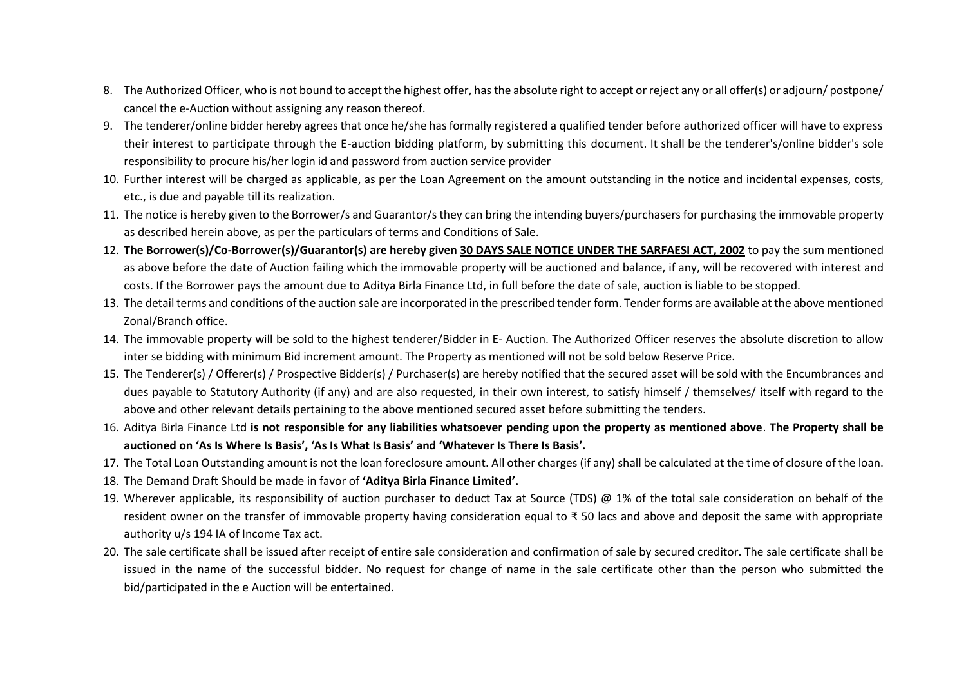- 8. The Authorized Officer, who is not bound to accept the highest offer, has the absolute right to accept or reject any or all offer(s) or adjourn/ postpone/ cancel the e-Auction without assigning any reason thereof.
- 9. The tenderer/online bidder hereby agrees that once he/she has formally registered a qualified tender before authorized officer will have to express their interest to participate through the E-auction bidding platform, by submitting this document. It shall be the tenderer's/online bidder's sole responsibility to procure his/her login id and password from auction service provider
- 10. Further interest will be charged as applicable, as per the Loan Agreement on the amount outstanding in the notice and incidental expenses, costs, etc., is due and payable till its realization.
- 11. The notice is hereby given to the Borrower/s and Guarantor/s they can bring the intending buyers/purchasers for purchasing the immovable property as described herein above, as per the particulars of terms and Conditions of Sale.
- 12. **The Borrower(s)/Co-Borrower(s)/Guarantor(s) are hereby given 30 DAYS SALE NOTICE UNDER THE SARFAESI ACT, 2002** to pay the sum mentioned as above before the date of Auction failing which the immovable property will be auctioned and balance, if any, will be recovered with interest and costs. If the Borrower pays the amount due to Aditya Birla Finance Ltd, in full before the date of sale, auction is liable to be stopped.
- 13. The detail terms and conditions of the auction sale are incorporated in the prescribed tender form. Tender forms are available at the above mentioned Zonal/Branch office.
- 14. The immovable property will be sold to the highest tenderer/Bidder in E- Auction. The Authorized Officer reserves the absolute discretion to allow inter se bidding with minimum Bid increment amount. The Property as mentioned will not be sold below Reserve Price.
- 15. The Tenderer(s) / Offerer(s) / Prospective Bidder(s) / Purchaser(s) are hereby notified that the secured asset will be sold with the Encumbrances and dues payable to Statutory Authority (if any) and are also requested, in their own interest, to satisfy himself / themselves/ itself with regard to the above and other relevant details pertaining to the above mentioned secured asset before submitting the tenders.
- 16. Aditya Birla Finance Ltd **is not responsible for any liabilities whatsoever pending upon the property as mentioned above**. **The Property shall be auctioned on 'As Is Where Is Basis', 'As Is What Is Basis' and 'Whatever Is There Is Basis'.**
- 17. The Total Loan Outstanding amount is not the loan foreclosure amount. All other charges (if any) shall be calculated at the time of closure of the loan.
- 18. The Demand Draft Should be made in favor of **'Aditya Birla Finance Limited'.**
- 19. Wherever applicable, its responsibility of auction purchaser to deduct Tax at Source (TDS) @ 1% of the total sale consideration on behalf of the resident owner on the transfer of immovable property having consideration equal to ₹ 50 lacs and above and deposit the same with appropriate authority u/s 194 IA of Income Tax act.
- 20. The sale certificate shall be issued after receipt of entire sale consideration and confirmation of sale by secured creditor. The sale certificate shall be issued in the name of the successful bidder. No request for change of name in the sale certificate other than the person who submitted the bid/participated in the e Auction will be entertained.